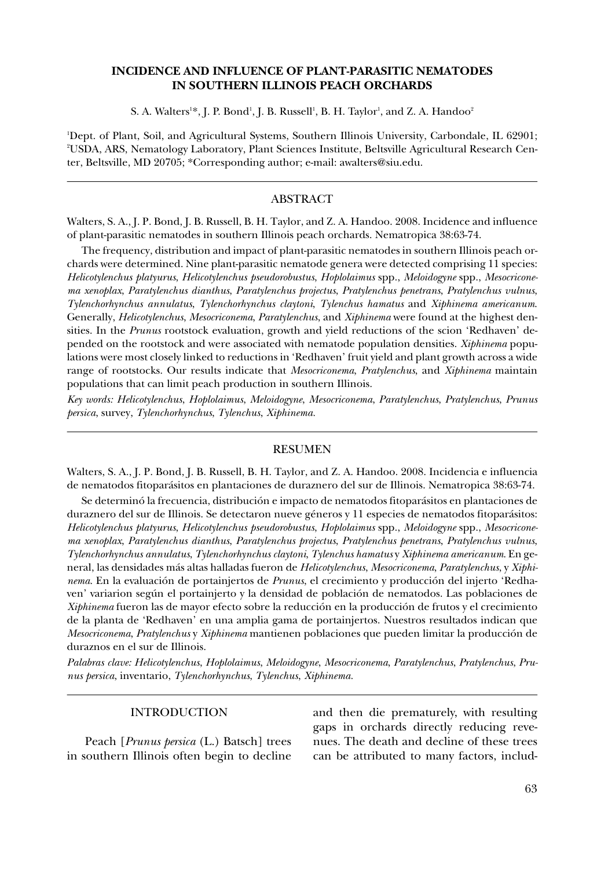# **INCIDENCE AND INFLUENCE OF PLANT-PARASITIC NEMATODES IN SOUTHERN ILLINOIS PEACH ORCHARDS**

S. A. Walters<sup>1</sup>\*, J. P. Bond<sup>1</sup>, J. B. Russell<sup>1</sup>, B. H. Taylor<sup>1</sup>, and Z. A. Handoo<sup>2</sup>

1 Dept. of Plant, Soil, and Agricultural Systems, Southern Illinois University, Carbondale, IL 62901; 2 USDA, ARS, Nematology Laboratory, Plant Sciences Institute, Beltsville Agricultural Research Center, Beltsville, MD 20705; \*Corresponding author; e-mail: awalters@siu.edu.

### ABSTRACT

Walters, S. A., J. P. Bond, J. B. Russell, B. H. Taylor, and Z. A. Handoo. 2008. Incidence and influence of plant-parasitic nematodes in southern Illinois peach orchards. Nematropica 38:63-74.

The frequency, distribution and impact of plant-parasitic nematodes in southern Illinois peach orchards were determined. Nine plant-parasitic nematode genera were detected comprising 11 species: *Helicotylenchus platyurus*, *Helicotylenchus pseudorobustus*, *Hoplolaimus* spp., *Meloidogyne* spp., *Mesocriconema xenoplax*, *Paratylenchus dianthus*, *Paratylenchus projectus*, *Pratylenchus penetrans*, *Pratylenchus vulnus*, *Tylenchorhynchus annulatus*, *Tylenchorhynchus claytoni*, *Tylenchus hamatus* and *Xiphinema americanum*. Generally, *Helicotylenchus*, *Mesocriconema*, *Paratylenchus*, and *Xiphinema* were found at the highest densities. In the *Prunus* rootstock evaluation, growth and yield reductions of the scion 'Redhaven' depended on the rootstock and were associated with nematode population densities. *Xiphinema* populations were most closely linked to reductions in 'Redhaven' fruit yield and plant growth across a wide range of rootstocks. Our results indicate that *Mesocriconema*, *Pratylenchus*, and *Xiphinema* maintain populations that can limit peach production in southern Illinois.

*Key words: Helicotylenchus*, *Hoplolaimus*, *Meloidogyne*, *Mesocriconema*, *Paratylenchus*, *Pratylenchus*, *Prunus persica*, survey, *Tylenchorhynchus*, *Tylenchus*, *Xiphinema.*

#### RESUMEN

Walters, S. A., J. P. Bond, J. B. Russell, B. H. Taylor, and Z. A. Handoo. 2008. Incidencia e influencia de nematodos fitoparásitos en plantaciones de duraznero del sur de Illinois. Nematropica 38:63-74.

Se determinó la frecuencia, distribución e impacto de nematodos fitoparásitos en plantaciones de duraznero del sur de Illinois. Se detectaron nueve géneros y 11 especies de nematodos fitoparásitos: *Helicotylenchus platyurus*, *Helicotylenchus pseudorobustus*, *Hoplolaimus* spp., *Meloidogyne* spp., *Mesocriconema xenoplax*, *Paratylenchus dianthus*, *Paratylenchus projectus*, *Pratylenchus penetrans*, *Pratylenchus vulnus*, *Tylenchorhynchus annulatus*, *Tylenchorhynchus claytoni*, *Tylenchus hamatus* y *Xiphinema americanum*. En general, las densidades más altas halladas fueron de *Helicotylenchus*, *Mesocriconema*, *Paratylenchus*, y *Xiphinema*. En la evaluación de portainjertos de *Prunus*, el crecimiento y producción del injerto 'Redhaven' variarion según el portainjerto y la densidad de población de nematodos. Las poblaciones de *Xiphinema* fueron las de mayor efecto sobre la reducción en la producción de frutos y el crecimiento de la planta de 'Redhaven' en una amplia gama de portainjertos. Nuestros resultados indican que *Mesocriconema*, *Pratylenchus* y *Xiphinema* mantienen poblaciones que pueden limitar la producción de duraznos en el sur de Illinois.

*Palabras clave: Helicotylenchus*, *Hoplolaimus*, *Meloidogyne*, *Mesocriconema*, *Paratylenchus*, *Pratylenchus*, *Prunus persica*, inventario, *Tylenchorhynchus*, *Tylenchus*, *Xiphinema.*

## INTRODUCTION

Peach [*Prunus persica* (L.) Batsch] trees in southern Illinois often begin to decline and then die prematurely, with resulting gaps in orchards directly reducing revenues. The death and decline of these trees can be attributed to many factors, includ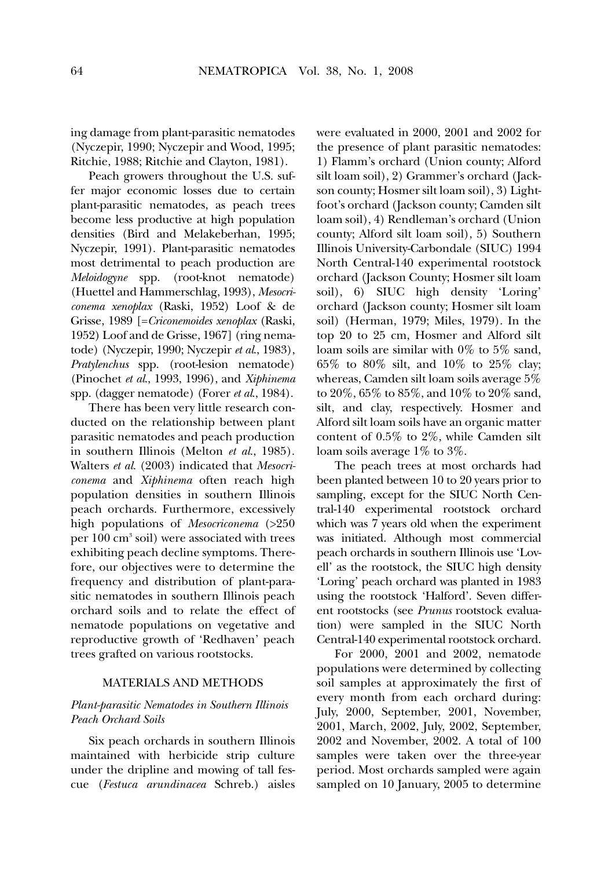ing damage from plant-parasitic nematodes (Nyczepir, 1990; Nyczepir and Wood, 1995; Ritchie, 1988; Ritchie and Clayton, 1981).

Peach growers throughout the U.S. suffer major economic losses due to certain plant-parasitic nematodes, as peach trees become less productive at high population densities (Bird and Melakeberhan, 1995; Nyczepir, 1991). Plant-parasitic nematodes most detrimental to peach production are *Meloidogyne* spp. (root-knot nematode) (Huettel and Hammerschlag, 1993), *Mesocriconema xenoplax* (Raski, 1952) Loof & de Grisse, 1989 [=*Criconemoides xenoplax* (Raski, 1952) Loof and de Grisse, 1967] (ring nematode) (Nyczepir, 1990; Nyczepir *et al*., 1983), *Pratylenchus* spp. (root-lesion nematode) (Pinochet *et al*., 1993, 1996), and *Xiphinema* spp. (dagger nematode) (Forer *et al*., 1984).

There has been very little research conducted on the relationship between plant parasitic nematodes and peach production in southern Illinois (Melton *et al*., 1985). Walters *et al*. (2003) indicated that *Mesocriconema* and *Xiphinema* often reach high population densities in southern Illinois peach orchards. Furthermore, excessively high populations of *Mesocriconema* (>250 per 100 cm<sup>3</sup> soil) were associated with trees exhibiting peach decline symptoms. Therefore, our objectives were to determine the frequency and distribution of plant-parasitic nematodes in southern Illinois peach orchard soils and to relate the effect of nematode populations on vegetative and reproductive growth of 'Redhaven' peach trees grafted on various rootstocks.

#### MATERIALS AND METHODS

## *Plant-parasitic Nematodes in Southern Illinois Peach Orchard Soils*

Six peach orchards in southern Illinois maintained with herbicide strip culture under the dripline and mowing of tall fescue (*Festuca arundinacea* Schreb.) aisles

were evaluated in 2000, 2001 and 2002 for the presence of plant parasitic nematodes: 1) Flamm's orchard (Union county; Alford silt loam soil), 2) Grammer's orchard (Jackson county; Hosmer silt loam soil), 3) Lightfoot's orchard (Jackson county; Camden silt loam soil), 4) Rendleman's orchard (Union county; Alford silt loam soil), 5) Southern Illinois University-Carbondale (SIUC) 1994 North Central-140 experimental rootstock orchard (Jackson County; Hosmer silt loam soil), 6) SIUC high density 'Loring' orchard (Jackson county; Hosmer silt loam soil) (Herman, 1979; Miles, 1979). In the top 20 to 25 cm, Hosmer and Alford silt loam soils are similar with 0% to 5% sand, 65% to 80% silt, and 10% to 25% clay; whereas, Camden silt loam soils average 5% to 20%, 65% to 85%, and 10% to 20% sand, silt, and clay, respectively. Hosmer and Alford silt loam soils have an organic matter content of 0.5% to 2%, while Camden silt loam soils average 1% to 3%.

The peach trees at most orchards had been planted between 10 to 20 years prior to sampling, except for the SIUC North Central-140 experimental rootstock orchard which was 7 years old when the experiment was initiated. Although most commercial peach orchards in southern Illinois use 'Lovell' as the rootstock, the SIUC high density 'Loring' peach orchard was planted in 1983 using the rootstock 'Halford'. Seven different rootstocks (see *Prunus* rootstock evaluation) were sampled in the SIUC North Central-140 experimental rootstock orchard.

For 2000, 2001 and 2002, nematode populations were determined by collecting soil samples at approximately the first of every month from each orchard during: July, 2000, September, 2001, November, 2001, March, 2002, July, 2002, September, 2002 and November, 2002. A total of 100 samples were taken over the three-year period. Most orchards sampled were again sampled on 10 January, 2005 to determine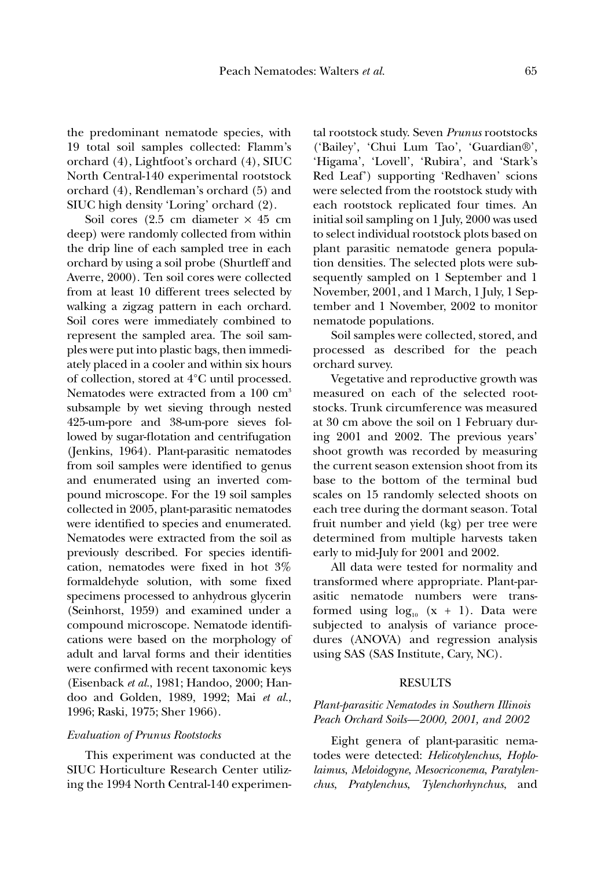the predominant nematode species, with 19 total soil samples collected: Flamm's orchard (4), Lightfoot's orchard (4), SIUC North Central-140 experimental rootstock orchard (4), Rendleman's orchard (5) and SIUC high density 'Loring' orchard (2).

Soil cores (2.5 cm diameter  $\times$  45 cm deep) were randomly collected from within the drip line of each sampled tree in each orchard by using a soil probe (Shurtleff and Averre, 2000). Ten soil cores were collected from at least 10 different trees selected by walking a zigzag pattern in each orchard. Soil cores were immediately combined to represent the sampled area. The soil samples were put into plastic bags, then immediately placed in a cooler and within six hours of collection, stored at 4°C until processed. Nematodes were extracted from a 100 cm<sup>3</sup> subsample by wet sieving through nested 425-um-pore and 38-um-pore sieves followed by sugar-flotation and centrifugation (Jenkins, 1964). Plant-parasitic nematodes from soil samples were identified to genus and enumerated using an inverted compound microscope. For the 19 soil samples collected in 2005, plant-parasitic nematodes were identified to species and enumerated. Nematodes were extracted from the soil as previously described. For species identification, nematodes were fixed in hot 3% formaldehyde solution, with some fixed specimens processed to anhydrous glycerin (Seinhorst, 1959) and examined under a compound microscope. Nematode identifications were based on the morphology of adult and larval forms and their identities were confirmed with recent taxonomic keys (Eisenback *et al.*, 1981; Handoo, 2000; Handoo and Golden, 1989, 1992; Mai *et al.*, 1996; Raski, 1975; Sher 1966).

#### *Evaluation of Prunus Rootstocks*

This experiment was conducted at the SIUC Horticulture Research Center utilizing the 1994 North Central-140 experimental rootstock study. Seven *Prunus* rootstocks ('Bailey', 'Chui Lum Tao', 'Guardian®', 'Higama', 'Lovell', 'Rubira', and 'Stark's Red Leaf') supporting 'Redhaven' scions were selected from the rootstock study with each rootstock replicated four times. An initial soil sampling on 1 July, 2000 was used to select individual rootstock plots based on plant parasitic nematode genera population densities. The selected plots were subsequently sampled on 1 September and 1 November, 2001, and 1 March, 1 July, 1 September and 1 November, 2002 to monitor nematode populations.

Soil samples were collected, stored, and processed as described for the peach orchard survey.

Vegetative and reproductive growth was measured on each of the selected rootstocks. Trunk circumference was measured at 30 cm above the soil on 1 February during 2001 and 2002. The previous years' shoot growth was recorded by measuring the current season extension shoot from its base to the bottom of the terminal bud scales on 15 randomly selected shoots on each tree during the dormant season. Total fruit number and yield (kg) per tree were determined from multiple harvests taken early to mid-July for 2001 and 2002.

All data were tested for normality and transformed where appropriate. Plant-parasitic nematode numbers were transformed using  $log_{10}$  (x + 1). Data were subjected to analysis of variance procedures (ANOVA) and regression analysis using SAS (SAS Institute, Cary, NC).

#### RESULTS

## *Plant-parasitic Nematodes in Southern Illinois Peach Orchard Soils—2000, 2001, and 2002*

Eight genera of plant-parasitic nematodes were detected: *Helicotylenchus*, *Hoplolaimus*, *Meloidogyne*, *Mesocriconema*, *Paratylenchus*, *Pratylenchus*, *Tylenchorhynchus*, and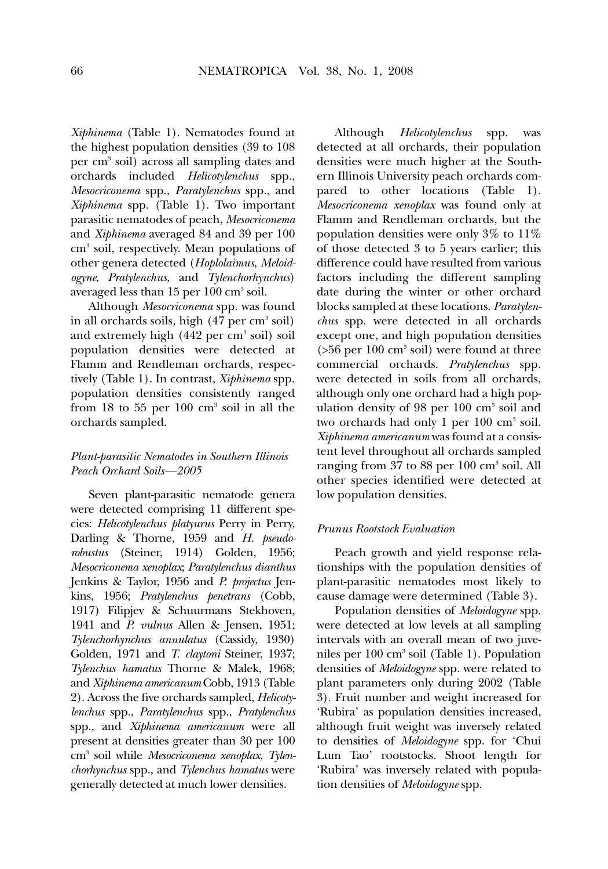*Xiphinema* (Table 1). Nematodes found at the highest population densities (39 to 108 per cm3 soil) across all sampling dates and orchards included *Helicotylenchus* spp., *Mesocriconema* spp., *Paratylenchus* spp., and *Xiphinema* spp. (Table 1). Two important parasitic nematodes of peach, *Mesocriconema* and *Xiphinema* averaged 84 and 39 per 100 cm3 soil, respectively. Mean populations of other genera detected (*Hoplolaimus*, *Meloidogyne*, *Pratylenchus*, and *Tylenchorhynchus*) averaged less than  $15$  per  $100 \text{ cm}^3 \text{ soil.}$ 

Although *Mesocriconema* spp. was found in all orchards soils, high  $(47 \text{ per cm}^3 \text{ soil})$ and extremely high  $(442 \text{ per cm}^3 \text{ soil})$  soil population densities were detected at Flamm and Rendleman orchards, respectively (Table 1). In contrast, *Xiphinema* spp. population densities consistently ranged from  $18$  to  $55$  per  $100 \text{ cm}^3$  soil in all the orchards sampled.

## *Plant-parasitic Nematodes in Southern Illinois Peach Orchard Soils—2005*

Seven plant-parasitic nematode genera were detected comprising 11 different species: *Helicotylenchus platyurus* Perry in Perry, Darling & Thorne, 1959 and *H. pseudorobustus* (Steiner, 1914) Golden, 1956; *Mesocriconema xenoplax*; *Paratylenchus dianthus* Jenkins & Taylor, 1956 and *P. projectus* Jenkins, 1956; *Pratylenchus penetrans* (Cobb, 1917) Filipjev & Schuurmans Stekhoven, 1941 and *P. vulnus* Allen & Jensen, 1951; *Tylenchorhynchus annulatus* (Cassidy, 1930) Golden, 1971 and *T. claytoni* Steiner, 1937; *Tylenchus hamatus* Thorne & Malek, 1968; and *Xiphinema americanum* Cobb, 1913 (Table 2). Across the five orchards sampled, *Helicotylenchus* spp., *Paratylenchus* spp., *Pratylenchus* spp., and *Xiphinema americanum* were all present at densities greater than 30 per 100 cm3 soil while *Mesocriconema xenoplax*, *Tylenchorhynchus* spp., and *Tylenchus hamatus* were generally detected at much lower densities.

Although *Helicotylenchus* spp. was detected at all orchards, their population densities were much higher at the Southern Illinois University peach orchards compared to other locations (Table 1). *Mesocriconema xenoplax* was found only at Flamm and Rendleman orchards, but the population densities were only 3% to 11% of those detected 3 to 5 years earlier; this difference could have resulted from various factors including the different sampling date during the winter or other orchard blocks sampled at these locations. *Paratylenchus* spp. were detected in all orchards except one, and high population densities  $($ >56 per 100 cm<sup>3</sup> soil) were found at three commercial orchards. *Pratylenchus* spp. were detected in soils from all orchards, although only one orchard had a high population density of 98 per  $100 \text{ cm}^3$  soil and two orchards had only 1 per 100 cm<sup>3</sup> soil. *Xiphinema americanum* was found at a consistent level throughout all orchards sampled ranging from  $37$  to  $88$  per  $100 \text{ cm}^3$  soil. All other species identified were detected at low population densities.

## *Prunus Rootstock Evaluation*

Peach growth and yield response relationships with the population densities of plant-parasitic nematodes most likely to cause damage were determined (Table 3).

Population densities of *Meloidogyne* spp. were detected at low levels at all sampling intervals with an overall mean of two juveniles per  $100 \text{ cm}^3$  soil (Table 1). Population densities of *Meloidogyne* spp. were related to plant parameters only during 2002 (Table 3). Fruit number and weight increased for 'Rubira' as population densities increased, although fruit weight was inversely related to densities of *Meloidogyne* spp. for 'Chui Lum Tao' rootstocks. Shoot length for 'Rubira' was inversely related with population densities of *Meloidogyne* spp.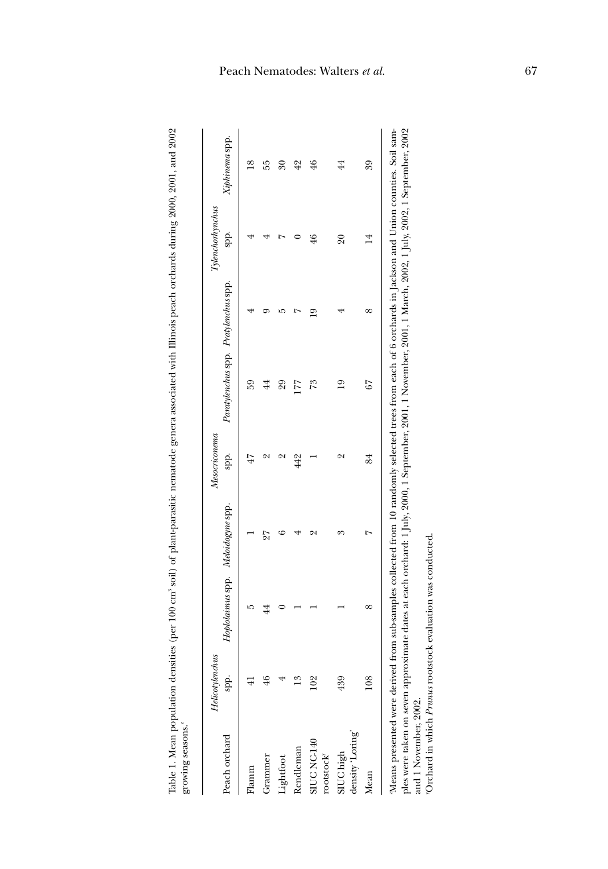Table 1. Mean population densities (per 100 cm3 soil) of plant-parasitic nematode genera associated with Illinois peach orchards during 2000, 2001, and 2002 Table 1. Mean population densities (per 100 cm3 soil) of plant-parasitic nematode genera associated with Illinois peach orchards during 2000, 2001, and 2002 growing seasons." growing seasons.<sup>2</sup>

| Peach orchard                            | Helicotylenchus<br>spp. | Hoplolaimus spp. Meloidogyne spp. |    | Mesocriconema<br>spp. | Paratylenchus spp. Pratylenchus spp. |   | Tylenchorhynchus<br>spp. | Xiphinema spp.           |
|------------------------------------------|-------------------------|-----------------------------------|----|-----------------------|--------------------------------------|---|--------------------------|--------------------------|
| lamm                                     |                         |                                   |    |                       | 59                                   |   |                          | $\frac{8}{18}$           |
| Grammer                                  |                         | $\ddot{4}$                        | 27 |                       | $\overline{4}$                       |   |                          | 55                       |
| Lightfoot                                |                         |                                   |    |                       | 29                                   |   |                          | $\overline{\mathcal{E}}$ |
| Rendleman                                |                         |                                   |    | 442                   | 177                                  |   |                          | 42                       |
| SIUC<br>NC-140<br>rootstock <sup>y</sup> | $\frac{8}{2}$           |                                   |    |                       | 73                                   | ⊵ | 46                       | 46                       |
| density 'Loring'<br>SIUChigh             | 439                     |                                   |    |                       | $\overline{19}$                      |   | $\overline{6}$           | $^{44}$                  |
| Mean                                     | 108                     | ∝                                 |    | 84                    | 67                                   |   | $^{14}$                  | 39                       |

<sup>7</sup>Orchard in which Prunus rootstock evaluation was conducted. yOrchard in which *Prunus* rootstock evaluation was conducted.and 1 November, 2002. and 1 November, 2002.

# Peach Nematodes: Walters *et al.* 67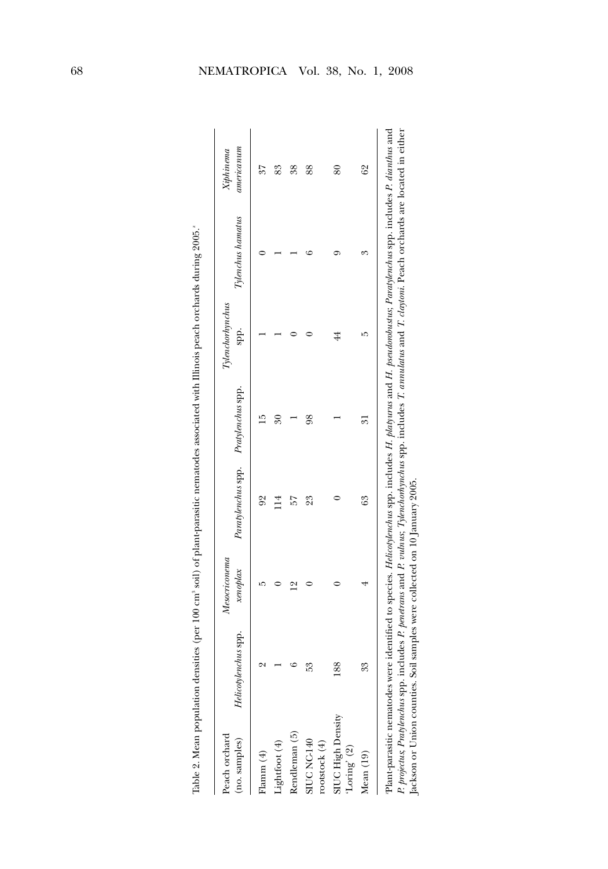| Peach orchard<br>(no. samples)        | Helicotylenchus spp. xenoplax Paratylenchus spp. Pratylenchus spp. | Mesoriconema      |                             |                       | $\label{thm:uncon} To then the only nchus$<br>spp. | $Tylenchus$ hamatus | americanum<br>Xiphinema     |
|---------------------------------------|--------------------------------------------------------------------|-------------------|-----------------------------|-----------------------|----------------------------------------------------|---------------------|-----------------------------|
| Flamm $(4)$                           | c                                                                  |                   | $\mathcal{S}^{\mathcal{O}}$ | r.                    |                                                    |                     | 57                          |
| ightfoot (4)                          |                                                                    |                   | 14                          | $\mathcal{S}^{\circ}$ |                                                    |                     | 83                          |
| Rendleman (5)                         | ٢                                                                  | $\mathbf{\Omega}$ | 57                          |                       |                                                    |                     | 38                          |
| <b>SIUC NC-140</b><br>rootstock $(4)$ | ∝<br>10                                                            |                   | 23                          | 98                    |                                                    |                     | 88                          |
| SIUC High Density<br>Loring' $(2)$    | 88                                                                 |                   |                             |                       | $^{44}$                                            |                     | 80                          |
| Mean (19)                             | 33                                                                 |                   | 63                          | 51                    | r)                                                 | 60                  | $\mathcal{S}^{\mathcal{S}}$ |
|                                       |                                                                    |                   |                             |                       |                                                    |                     |                             |

Table 2. Mean population densities (per 100 cm3 soil) of plant-parasitic nematodes associated with Illinois peach orchards during 2005. Table 2. Mean population densities (per 100 cm<sup>3</sup> soil) of plant-parasitic nematodes associated with Illinois peach orchards during 2005.<sup>z</sup> Plant-parasitic nematodes were identified to species. Helicotylenchus spp. includes H. platyurus and H. pseudorobustus; Paratylenchus spp. includes P. dianthus and P. projectus, Pratylenchus spp. includes P. penetrans and P. vulnus, Tylenchorhynchus spp. includes T. annulatus and T. claytoni. Peach orchards are located in either zPlant-parasitic nematodes were identified to species. *Helicotylenchus* spp. includes *H. platyurus* and *H. pseudorobustus*; *Paratylenchus* spp. includes *P. dianthus* and P. projectus, Pratylenchus spp. includes P. penetrans and P. vulnus, Tylenchorhynchus spp. includes T. annulatus and T. claytoni. Peach orchards are located in either Jackson or Union counties. Soil samples were collected on 10 January 2005. Jackson or Union counties. Soil samples were collected on 10 January 2005.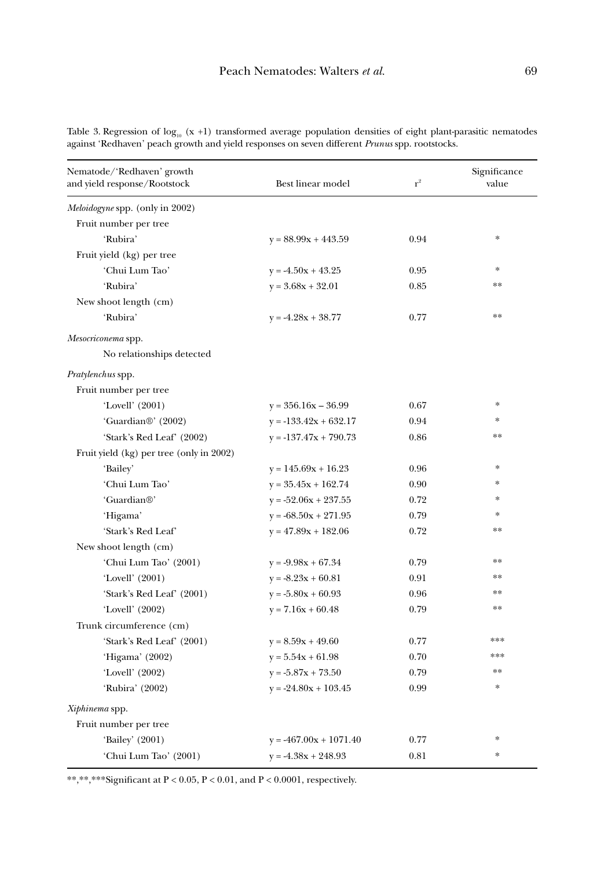| Nematode/'Redhaven' growth<br>and yield response/Rootstock | Best linear model        | $r^2$ | Significance<br>value |
|------------------------------------------------------------|--------------------------|-------|-----------------------|
| <i>Meloidogyne</i> spp. (only in 2002)                     |                          |       |                       |
| Fruit number per tree                                      |                          |       |                       |
| 'Rubira'                                                   | $y = 88.99x + 443.59$    | 0.94  | $\frac{1}{2}$         |
| Fruit yield (kg) per tree                                  |                          |       |                       |
| 'Chui Lum Tao'                                             | $y = -4.50x + 43.25$     | 0.95  | $\frac{1}{2}$         |
| 'Rubira'                                                   | $y = 3.68x + 32.01$      | 0.85  | **                    |
| New shoot length (cm)                                      |                          |       |                       |
| 'Rubira'                                                   | $y = -4.28x + 38.77$     | 0.77  | **                    |
| Mesocriconema spp.                                         |                          |       |                       |
| No relationships detected                                  |                          |       |                       |
| <i>Pratylenchus</i> spp.                                   |                          |       |                       |
| Fruit number per tree                                      |                          |       |                       |
| 'Lovell' $(2001)$                                          | $y = 356.16x - 36.99$    | 0.67  | $\ast$                |
| 'Guardian <sup>®</sup> ' (2002)                            | $y = -133.42x + 632.17$  | 0.94  | $\mathbf{x}$          |
| 'Stark's Red Leaf' (2002)                                  | $y = -137.47x + 790.73$  | 0.86  | **                    |
| Fruit yield (kg) per tree (only in 2002)                   |                          |       |                       |
| 'Bailey'                                                   | $y = 145.69x + 16.23$    | 0.96  | $\frac{1}{2}$         |
| 'Chui Lum Tao'                                             | $y = 35.45x + 162.74$    | 0.90  | $\ast$                |
| 'Guardian®'                                                | $y = -52.06x + 237.55$   | 0.72  | $\frac{1}{2}$         |
| 'Higama'                                                   | $y = -68.50x + 271.95$   | 0.79  | $\frac{1}{2}$         |
| 'Stark's Red Leaf'                                         | $y = 47.89x + 182.06$    | 0.72  | **                    |
| New shoot length (cm)                                      |                          |       |                       |
| 'Chui Lum Tao' (2001)                                      | $y = -9.98x + 67.34$     | 0.79  | **                    |
| 'Lovell' (2001)                                            | $y = -8.23x + 60.81$     | 0.91  | **                    |
| 'Stark's Red Leaf' (2001)                                  | $y = -5.80x + 60.93$     | 0.96  | **                    |
| 'Lovell' (2002)                                            | $y = 7.16x + 60.48$      | 0.79  | $**$                  |
| Trunk circumference (cm)                                   |                          |       |                       |
| 'Stark's Red Leaf' (2001)                                  | $y = 8.59x + 49.60$      | 0.77  | ***                   |
| 'Higama' (2002)                                            | $y = 5.54x + 61.98$      | 0.70  | ***                   |
| 'Lovell' (2002)                                            | $y = -5.87x + 73.50$     | 0.79  | **                    |
| 'Rubira' (2002)                                            | $y = -24.80x + 103.45$   | 0.99  | $\ast$                |
| Xiphinema spp.                                             |                          |       |                       |
| Fruit number per tree                                      |                          |       |                       |
| 'Bailey' (2001)                                            | $y = -467.00x + 1071.40$ | 0.77  | $\ast$                |
| 'Chui Lum Tao' (2001)                                      | $y = -4.38x + 248.93$    | 0.81  | $\ast$                |

Table 3. Regression of  $\log_{10}$  (x +1) transformed average population densities of eight plant-parasitic nematodes against 'Redhaven' peach growth and yield responses on seven different *Prunus* spp. rootstocks.

\*\*,\*\*,\*\*\*Significant at P < 0.05, P < 0.01, and P < 0.0001, respectively.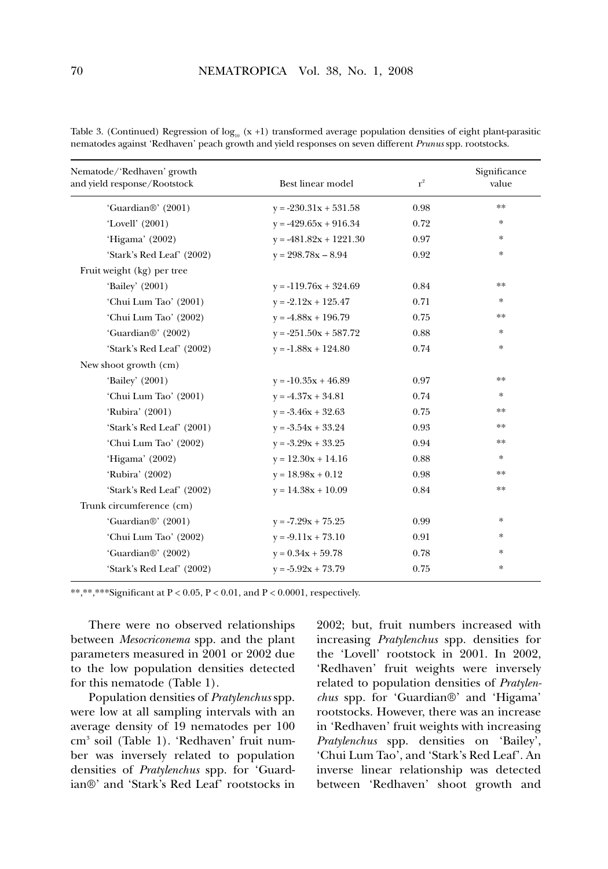| Nematode/'Redhaven' growth<br>and yield response/Rootstock | Best linear model        | $\mathbf{r}^2$ | Significance<br>value |
|------------------------------------------------------------|--------------------------|----------------|-----------------------|
| 'Guardian <sup>®</sup> ' (2001)                            | $y = -230.31x + 531.58$  | 0.98           | **                    |
| 'Lovell' (2001)                                            | $y = -429.65x + 916.34$  | 0.72           | $\ast$                |
| 'Higama' (2002)                                            | $y = -481.82x + 1221.30$ | 0.97           | *                     |
| 'Stark's Red Leaf' (2002)                                  | $y = 298.78x - 8.94$     | 0.92           | $\ast$                |
| Fruit weight (kg) per tree                                 |                          |                |                       |
| 'Bailey' (2001)                                            | $y = -119.76x + 324.69$  | 0.84           | **                    |
| 'Chui Lum Tao' (2001)                                      | $y = -2.12x + 125.47$    | 0.71           | *                     |
| 'Chui Lum Tao' (2002)                                      | $y = -4.88x + 196.79$    | 0.75           | **                    |
| 'Guardian <sup>®</sup> ' (2002)                            | $y = -251.50x + 587.72$  | 0.88           | *                     |
| 'Stark's Red Leaf' (2002)                                  | $y = -1.88x + 124.80$    | 0.74           | $\ast$                |
| New shoot growth (cm)                                      |                          |                |                       |
| 'Bailey' (2001)                                            | $y = -10.35x + 46.89$    | 0.97           | **                    |
| 'Chui Lum Tao' (2001)                                      | $y = -4.37x + 34.81$     | 0.74           | ∗                     |
| 'Rubira' (2001)                                            | $y = -3.46x + 32.63$     | 0.75           | **                    |
| 'Stark's Red Leaf' (2001)                                  | $y = -3.54x + 33.24$     | 0.93           | **                    |
| 'Chui Lum Tao' (2002)                                      | $y = -3.29x + 33.25$     | 0.94           | **                    |
| 'Higama' (2002)                                            | $y = 12.30x + 14.16$     | 0.88           | *                     |
| 'Rubira' (2002)                                            | $y = 18.98x + 0.12$      | 0.98           | **                    |
| 'Stark's Red Leaf' (2002)                                  | $y = 14.38x + 10.09$     | 0.84           | **                    |
| Trunk circumference (cm)                                   |                          |                |                       |
| 'Guardian <sup>®</sup> ' (2001)                            | $y = -7.29x + 75.25$     | 0.99           | *                     |
| 'Chui Lum Tao' (2002)                                      | $y = -9.11x + 73.10$     | 0.91           | ∗                     |
| 'Guardian <sup>®</sup> ' (2002)                            | $y = 0.34x + 59.78$      | 0.78           | *                     |
| 'Stark's Red Leaf' (2002)                                  | $y = -5.92x + 73.79$     | 0.75           | $\ast$                |
|                                                            |                          |                |                       |

Table 3. (Continued) Regression of  $log_{10} (x + 1)$  transformed average population densities of eight plant-parasitic nematodes against 'Redhaven' peach growth and yield responses on seven different *Prunus* spp. rootstocks.

\*\*,\*\*,\*\*\*Significant at  $P < 0.05$ ,  $P < 0.01$ , and  $P < 0.0001$ , respectively.

There were no observed relationships between *Mesocriconema* spp. and the plant parameters measured in 2001 or 2002 due to the low population densities detected for this nematode (Table 1).

Population densities of *Pratylenchus* spp. were low at all sampling intervals with an average density of 19 nematodes per 100 cm3 soil (Table 1). 'Redhaven' fruit number was inversely related to population densities of *Pratylenchus* spp. for 'Guardian®' and 'Stark's Red Leaf' rootstocks in 2002; but, fruit numbers increased with increasing *Pratylenchus* spp. densities for the 'Lovell' rootstock in 2001. In 2002, 'Redhaven' fruit weights were inversely related to population densities of *Pratylenchus* spp. for 'Guardian®' and 'Higama' rootstocks. However, there was an increase in 'Redhaven' fruit weights with increasing *Pratylenchus* spp. densities on 'Bailey', 'Chui Lum Tao', and 'Stark's Red Leaf'. An inverse linear relationship was detected between 'Redhaven' shoot growth and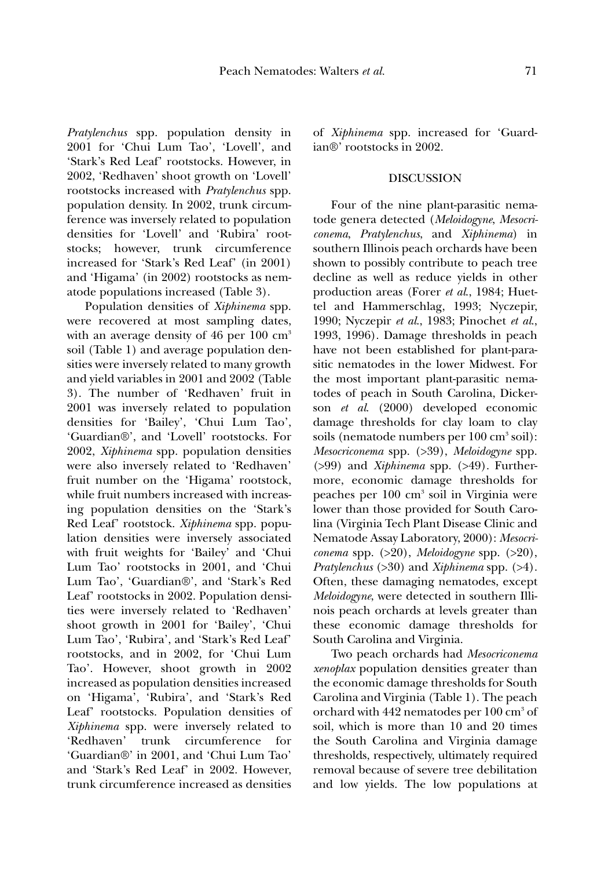*Pratylenchus* spp. population density in 2001 for 'Chui Lum Tao', 'Lovell', and 'Stark's Red Leaf' rootstocks. However, in 2002, 'Redhaven' shoot growth on 'Lovell' rootstocks increased with *Pratylenchus* spp. population density. In 2002, trunk circumference was inversely related to population densities for 'Lovell' and 'Rubira' rootstocks; however, trunk circumference increased for 'Stark's Red Leaf' (in 2001) and 'Higama' (in 2002) rootstocks as nematode populations increased (Table 3).

Population densities of *Xiphinema* spp. were recovered at most sampling dates, with an average density of 46 per  $100 \text{ cm}^3$ soil (Table 1) and average population densities were inversely related to many growth and yield variables in 2001 and 2002 (Table 3). The number of 'Redhaven' fruit in 2001 was inversely related to population densities for 'Bailey', 'Chui Lum Tao', 'Guardian®', and 'Lovell' rootstocks. For 2002, *Xiphinema* spp. population densities were also inversely related to 'Redhaven' fruit number on the 'Higama' rootstock, while fruit numbers increased with increasing population densities on the 'Stark's Red Leaf' rootstock. *Xiphinema* spp. population densities were inversely associated with fruit weights for 'Bailey' and 'Chui Lum Tao' rootstocks in 2001, and 'Chui Lum Tao', 'Guardian®', and 'Stark's Red Leaf' rootstocks in 2002. Population densities were inversely related to 'Redhaven' shoot growth in 2001 for 'Bailey', 'Chui Lum Tao', 'Rubira', and 'Stark's Red Leaf' rootstocks, and in 2002, for 'Chui Lum Tao'. However, shoot growth in 2002 increased as population densities increased on 'Higama', 'Rubira', and 'Stark's Red Leaf' rootstocks. Population densities of *Xiphinema* spp. were inversely related to 'Redhaven' trunk circumference for 'Guardian®' in 2001, and 'Chui Lum Tao' and 'Stark's Red Leaf' in 2002. However, trunk circumference increased as densities

of *Xiphinema* spp. increased for 'Guardian®' rootstocks in 2002.

## DISCUSSION

Four of the nine plant-parasitic nematode genera detected (*Meloidogyne*, *Mesocriconema*, *Pratylenchus*, and *Xiphinema*) in southern Illinois peach orchards have been shown to possibly contribute to peach tree decline as well as reduce yields in other production areas (Forer *et al*., 1984; Huettel and Hammerschlag, 1993; Nyczepir, 1990; Nyczepir *et al*., 1983; Pinochet *et al*., 1993, 1996). Damage thresholds in peach have not been established for plant-parasitic nematodes in the lower Midwest. For the most important plant-parasitic nematodes of peach in South Carolina, Dickerson *et al*. (2000) developed economic damage thresholds for clay loam to clay soils (nematode numbers per 100 cm<sup>3</sup> soil): *Mesocriconema* spp. (>39), *Meloidogyne* spp. (>99) and *Xiphinema* spp. (>49). Furthermore, economic damage thresholds for peaches per 100 cm3 soil in Virginia were lower than those provided for South Carolina (Virginia Tech Plant Disease Clinic and Nematode Assay Laboratory, 2000): *Mesocriconema* spp. (>20), *Meloidogyne* spp. (>20), *Pratylenchus* (>30) and *Xiphinema* spp. (>4). Often, these damaging nematodes, except *Meloidogyne*, were detected in southern Illinois peach orchards at levels greater than these economic damage thresholds for South Carolina and Virginia.

Two peach orchards had *Mesocriconema xenoplax* population densities greater than the economic damage thresholds for South Carolina and Virginia (Table 1). The peach orchard with 442 nematodes per 100 cm3 of soil, which is more than 10 and 20 times the South Carolina and Virginia damage thresholds, respectively, ultimately required removal because of severe tree debilitation and low yields. The low populations at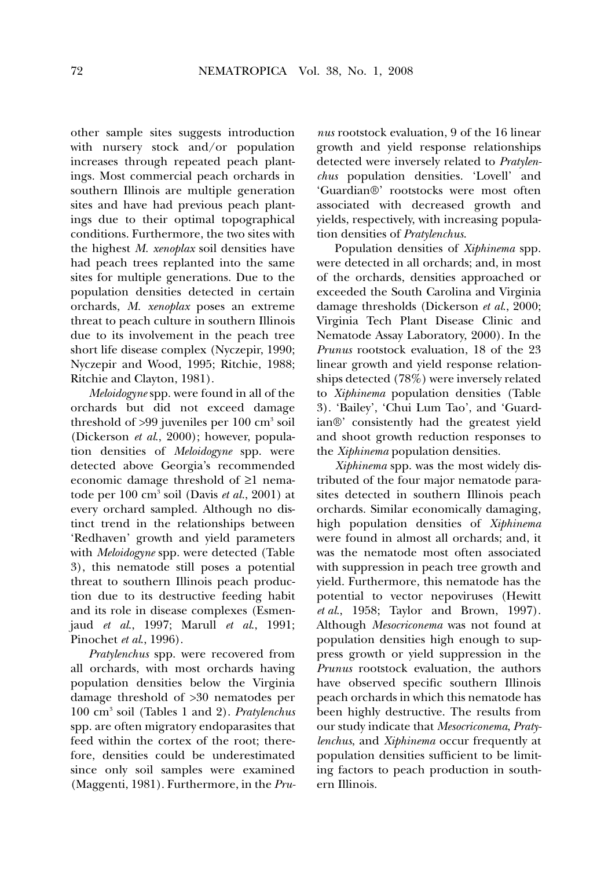other sample sites suggests introduction with nursery stock and/or population increases through repeated peach plantings. Most commercial peach orchards in southern Illinois are multiple generation sites and have had previous peach plantings due to their optimal topographical conditions. Furthermore, the two sites with the highest *M. xenoplax* soil densities have had peach trees replanted into the same sites for multiple generations. Due to the population densities detected in certain orchards, *M. xenoplax* poses an extreme threat to peach culture in southern Illinois due to its involvement in the peach tree short life disease complex (Nyczepir, 1990; Nyczepir and Wood, 1995; Ritchie, 1988; Ritchie and Clayton, 1981).

*Meloidogyne* spp. were found in all of the orchards but did not exceed damage threshold of  $>99$  juveniles per 100 cm<sup>3</sup> soil (Dickerson *et al*., 2000); however, population densities of *Meloidogyne* spp. were detected above Georgia's recommended economic damage threshold of ≥1 nematode per 100 cm<sup>3</sup> soil (Davis *et al.*, 2001) at every orchard sampled. Although no distinct trend in the relationships between 'Redhaven' growth and yield parameters with *Meloidogyne* spp. were detected (Table 3), this nematode still poses a potential threat to southern Illinois peach production due to its destructive feeding habit and its role in disease complexes (Esmenjaud *et al*., 1997; Marull *et al*., 1991; Pinochet *et al*., 1996).

*Pratylenchus* spp. were recovered from all orchards, with most orchards having population densities below the Virginia damage threshold of >30 nematodes per 100 cm3 soil (Tables 1 and 2). *Pratylenchus* spp. are often migratory endoparasites that feed within the cortex of the root; therefore, densities could be underestimated since only soil samples were examined (Maggenti, 1981). Furthermore, in the *Pru-*

*nus* rootstock evaluation, 9 of the 16 linear growth and yield response relationships detected were inversely related to *Pratylenchus* population densities. 'Lovell' and 'Guardian®' rootstocks were most often associated with decreased growth and yields, respectively, with increasing population densities of *Pratylenchus*.

Population densities of *Xiphinema* spp. were detected in all orchards; and, in most of the orchards, densities approached or exceeded the South Carolina and Virginia damage thresholds (Dickerson *et al*., 2000; Virginia Tech Plant Disease Clinic and Nematode Assay Laboratory, 2000). In the *Prunus* rootstock evaluation, 18 of the 23 linear growth and yield response relationships detected (78%) were inversely related to *Xiphinema* population densities (Table 3). 'Bailey', 'Chui Lum Tao', and 'Guardian®' consistently had the greatest yield and shoot growth reduction responses to the *Xiphinema* population densities.

*Xiphinema* spp. was the most widely distributed of the four major nematode parasites detected in southern Illinois peach orchards. Similar economically damaging, high population densities of *Xiphinema* were found in almost all orchards; and, it was the nematode most often associated with suppression in peach tree growth and yield. Furthermore, this nematode has the potential to vector nepoviruses (Hewitt *et al*., 1958; Taylor and Brown, 1997). Although *Mesocriconema* was not found at population densities high enough to suppress growth or yield suppression in the *Prunus* rootstock evaluation, the authors have observed specific southern Illinois peach orchards in which this nematode has been highly destructive. The results from our study indicate that *Mesocriconema*, *Pratylenchus*, and *Xiphinema* occur frequently at population densities sufficient to be limiting factors to peach production in southern Illinois.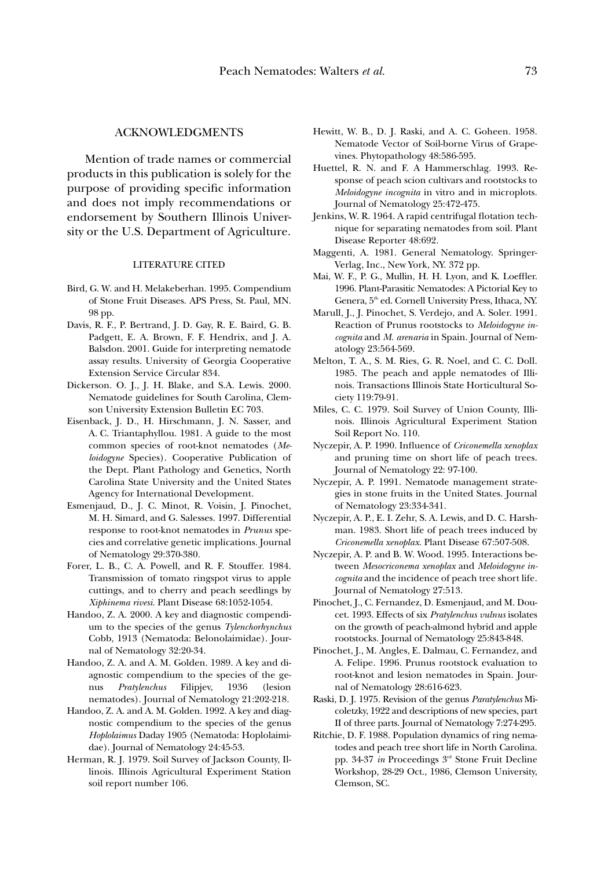## ACKNOWLEDGMENTS

Mention of trade names or commercial products in this publication is solely for the purpose of providing specific information and does not imply recommendations or endorsement by Southern Illinois University or the U.S. Department of Agriculture.

#### LITERATURE CITED

- Bird, G. W. and H. Melakeberhan. 1995. Compendium of Stone Fruit Diseases. APS Press, St. Paul, MN. 98 pp.
- Davis, R. F., P. Bertrand, J. D. Gay, R. E. Baird, G. B. Padgett, E. A. Brown, F. F. Hendrix, and J. A. Balsdon. 2001. Guide for interpreting nematode assay results. University of Georgia Cooperative Extension Service Circular 834.
- Dickerson. O. J., J. H. Blake, and S.A. Lewis. 2000. Nematode guidelines for South Carolina, Clemson University Extension Bulletin EC 703.
- Eisenback, J. D., H. Hirschmann, J. N. Sasser, and A. C. Triantaphyllou. 1981. A guide to the most common species of root-knot nematodes (*Meloidogyne* Species). Cooperative Publication of the Dept. Plant Pathology and Genetics, North Carolina State University and the United States Agency for International Development.
- Esmenjaud, D., J. C. Minot, R. Voisin, J. Pinochet, M. H. Simard, and G. Salesses. 1997. Differential response to root-knot nematodes in *Prunus* species and correlative genetic implications. Journal of Nematology 29:370-380.
- Forer, L. B., C. A. Powell, and R. F. Stouffer. 1984. Transmission of tomato ringspot virus to apple cuttings, and to cherry and peach seedlings by *Xiphinema rivesi*. Plant Disease 68:1052-1054.
- Handoo, Z. A. 2000. A key and diagnostic compendium to the species of the genus *Tylenchorhynchus* Cobb, 1913 (Nematoda: Belonolaimidae). Journal of Nematology 32:20-34.
- Handoo, Z. A. and A. M. Golden. 1989. A key and diagnostic compendium to the species of the genus *Pratylenchus* Filipjev, 1936 (lesion nematodes). Journal of Nematology 21:202-218.
- Handoo, Z. A. and A. M. Golden. 1992. A key and diagnostic compendium to the species of the genus *Hoplolaimus* Daday 1905 (Nematoda: Hoplolaimidae). Journal of Nematology 24:45-53.
- Herman, R. J. 1979. Soil Survey of Jackson County, Illinois. Illinois Agricultural Experiment Station soil report number 106.
- Hewitt, W. B., D. J. Raski, and A. C. Goheen. 1958. Nematode Vector of Soil-borne Virus of Grapevines. Phytopathology 48:586-595.
- Huettel, R. N. and F. A Hammerschlag. 1993. Response of peach scion cultivars and rootstocks to *Meloidogyne incognita* in vitro and in microplots. Journal of Nematology 25:472-475.
- Jenkins, W. R. 1964. A rapid centrifugal flotation technique for separating nematodes from soil. Plant Disease Reporter 48:692.
- Maggenti, A. 1981. General Nematology. Springer-Verlag, Inc., New York, NY. 372 pp.
- Mai, W. F., P. G., Mullin, H. H. Lyon, and K. Loeffler. 1996. Plant-Parasitic Nematodes: A Pictorial Key to Genera, 5<sup>th</sup> ed. Cornell University Press, Ithaca, NY.
- Marull, J., J. Pinochet, S. Verdejo, and A. Soler. 1991. Reaction of Prunus rootstocks to *Meloidogyne incognita* and *M. arenaria* in Spain. Journal of Nematology 23:564-569.
- Melton, T. A., S. M. Ries, G. R. Noel, and C. C. Doll. 1985. The peach and apple nematodes of Illinois. Transactions Illinois State Horticultural Society 119:79-91.
- Miles, C. C. 1979. Soil Survey of Union County, Illinois. Illinois Agricultural Experiment Station Soil Report No. 110.
- Nyczepir, A. P. 1990. Influence of *Criconemella xenoplax* and pruning time on short life of peach trees. Journal of Nematology 22: 97-100.
- Nyczepir, A. P. 1991. Nematode management strategies in stone fruits in the United States. Journal of Nematology 23:334-341.
- Nyczepir, A. P., E. I. Zehr, S. A. Lewis, and D. C. Harshman. 1983. Short life of peach trees induced by *Criconemella xenoplax*. Plant Disease 67:507-508.
- Nyczepir, A. P. and B. W. Wood. 1995. Interactions between *Mesocriconema xenoplax* and *Meloidogyne incognita* and the incidence of peach tree short life. Journal of Nematology 27:513.
- Pinochet, J., C. Fernandez, D. Esmenjaud, and M. Doucet. 1993. Effects of six *Pratylenchus vulnus* isolates on the growth of peach-almond hybrid and apple rootstocks. Journal of Nematology 25:843-848.
- Pinochet, J., M. Angles, E. Dalmau, C. Fernandez, and A. Felipe. 1996. Prunus rootstock evaluation to root-knot and lesion nematodes in Spain. Journal of Nematology 28:616-623.
- Raski, D. J. 1975. Revision of the genus *Paratylenchus* Micoletzky, 1922 and descriptions of new species, part II of three parts. Journal of Nematology 7:274-295.
- Ritchie, D. F. 1988. Population dynamics of ring nematodes and peach tree short life in North Carolina. pp. 34-37 *in* Proceedings 3rd Stone Fruit Decline Workshop, 28-29 Oct., 1986, Clemson University, Clemson, SC.